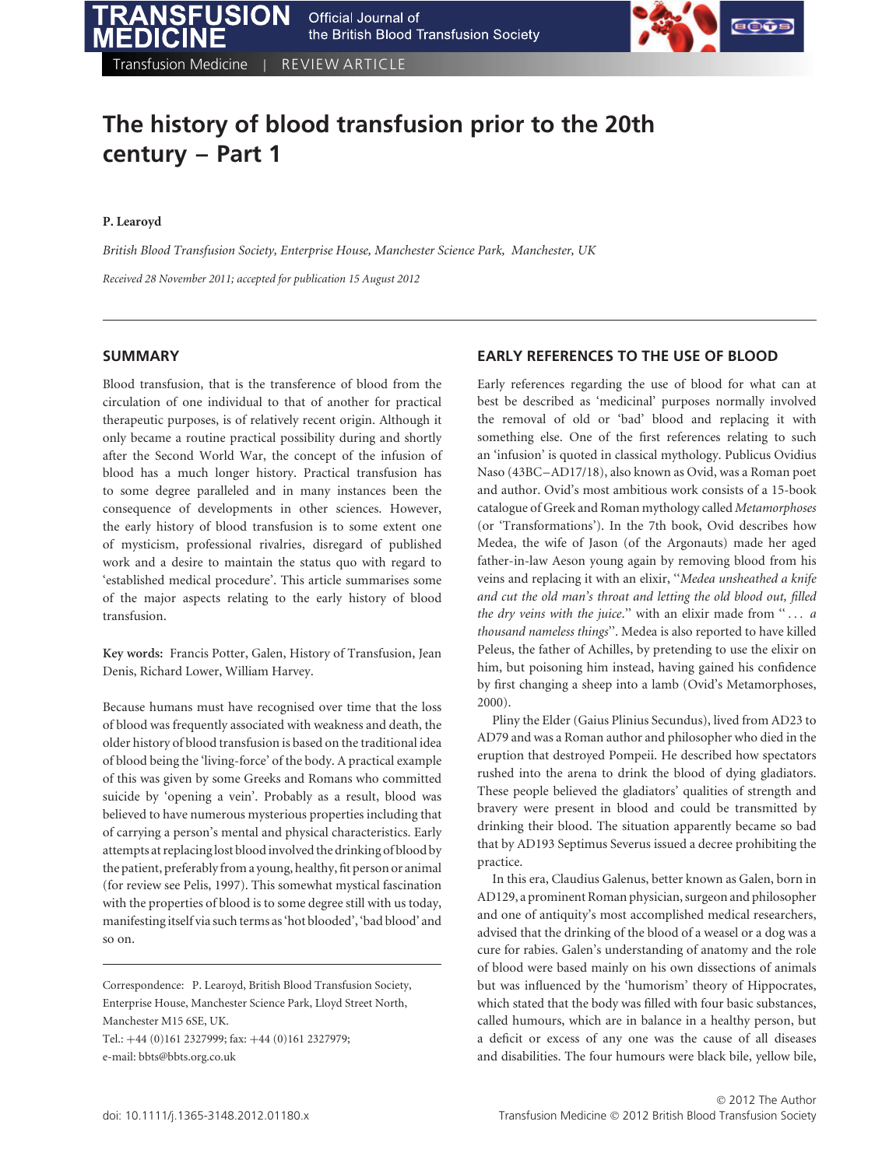Transfusion Medicine | REVIEW ARTICLE

**TRANSFUSION** 

**MEDICINE** 



# **The history of blood transfusion prior to the 20th century – Part 1**

#### **P. Learoyd**

*British Blood Transfusion Society, Enterprise House, Manchester Science Park, Manchester, UK Received 28 November 2011; accepted for publication 15 August 2012*

### **SUMMARY**

Blood transfusion, that is the transference of blood from the circulation of one individual to that of another for practical therapeutic purposes, is of relatively recent origin. Although it only became a routine practical possibility during and shortly after the Second World War, the concept of the infusion of blood has a much longer history. Practical transfusion has to some degree paralleled and in many instances been the consequence of developments in other sciences. However, the early history of blood transfusion is to some extent one of mysticism, professional rivalries, disregard of published work and a desire to maintain the status quo with regard to 'established medical procedure'. This article summarises some of the major aspects relating to the early history of blood transfusion.

**Key words:** Francis Potter, Galen, History of Transfusion, Jean Denis, Richard Lower, William Harvey.

Because humans must have recognised over time that the loss of blood was frequently associated with weakness and death, the older history of blood transfusion is based on the traditional idea of blood being the 'living-force' of the body. A practical example of this was given by some Greeks and Romans who committed suicide by 'opening a vein'. Probably as a result, blood was believed to have numerous mysterious properties including that of carrying a person's mental and physical characteristics. Early attempts at replacing lost blood involved the drinking of blood by the patient, preferably from a young, healthy, fit person or animal (for review see Pelis, 1997). This somewhat mystical fascination with the properties of blood is to some degree still with us today, manifesting itself via such terms as 'hot blooded', 'bad blood' and so on.

Correspondence: P. Learoyd, British Blood Transfusion Society, Enterprise House, Manchester Science Park, Lloyd Street North, Manchester M15 6SE, UK. Tel.: +44 (0)161 2327999; fax: +44 (0)161 2327979; e-mail: bbts@bbts.org.co.uk

## **EARLY REFERENCES TO THE USE OF BLOOD**

Early references regarding the use of blood for what can at best be described as 'medicinal' purposes normally involved the removal of old or 'bad' blood and replacing it with something else. One of the first references relating to such an 'infusion' is quoted in classical mythology. Publicus Ovidius Naso (43BC–AD17/18), also known as Ovid, was a Roman poet and author. Ovid's most ambitious work consists of a 15-book catalogue of Greek and Roman mythology called *Metamorphoses* (or 'Transformations'). In the 7th book, Ovid describes how Medea, the wife of Jason (of the Argonauts) made her aged father-in-law Aeson young again by removing blood from his veins and replacing it with an elixir, ''*Medea unsheathed a knife and cut the old man's throat and letting the old blood out, filled the dry veins with the juice*.'' with an elixir made from '' *... a thousand nameless things*''. Medea is also reported to have killed Peleus, the father of Achilles, by pretending to use the elixir on him, but poisoning him instead, having gained his confidence by first changing a sheep into a lamb (Ovid's Metamorphoses, 2000).

Pliny the Elder (Gaius Plinius Secundus), lived from AD23 to AD79 and was a Roman author and philosopher who died in the eruption that destroyed Pompeii. He described how spectators rushed into the arena to drink the blood of dying gladiators. These people believed the gladiators' qualities of strength and bravery were present in blood and could be transmitted by drinking their blood. The situation apparently became so bad that by AD193 Septimus Severus issued a decree prohibiting the practice.

In this era, Claudius Galenus, better known as Galen, born in AD129, a prominent Roman physician, surgeon and philosopher and one of antiquity's most accomplished medical researchers, advised that the drinking of the blood of a weasel or a dog was a cure for rabies. Galen's understanding of anatomy and the role of blood were based mainly on his own dissections of animals but was influenced by the 'humorism' theory of Hippocrates, which stated that the body was filled with four basic substances, called humours, which are in balance in a healthy person, but a deficit or excess of any one was the cause of all diseases and disabilities. The four humours were black bile, yellow bile,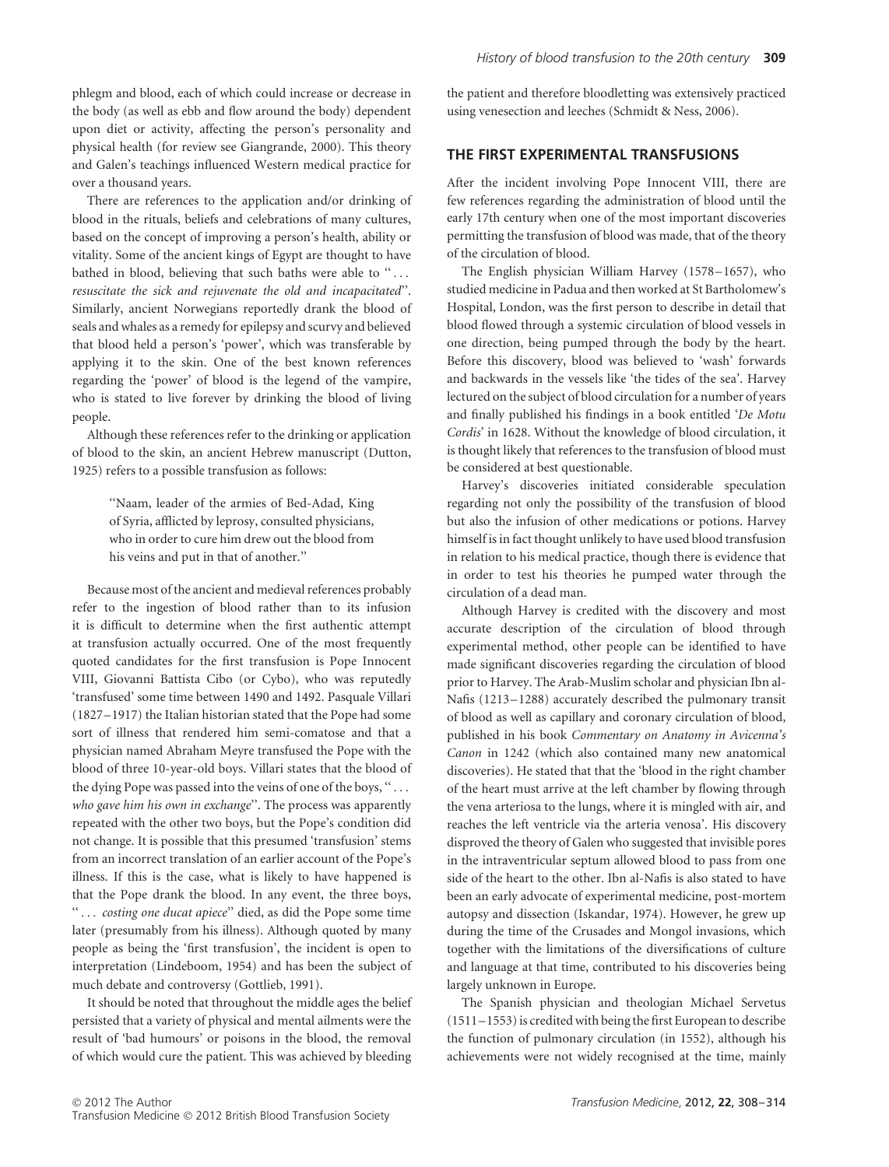There are references to the application and/or drinking of blood in the rituals, beliefs and celebrations of many cultures, based on the concept of improving a person's health, ability or vitality. Some of the ancient kings of Egypt are thought to have bathed in blood, believing that such baths were able to '' *... resuscitate the sick and rejuvenate the old and incapacitated*''. Similarly, ancient Norwegians reportedly drank the blood of seals and whales as a remedy for epilepsy and scurvy and believed that blood held a person's 'power', which was transferable by applying it to the skin. One of the best known references regarding the 'power' of blood is the legend of the vampire, who is stated to live forever by drinking the blood of living people.

Although these references refer to the drinking or application of blood to the skin, an ancient Hebrew manuscript (Dutton, 1925) refers to a possible transfusion as follows:

> ''Naam, leader of the armies of Bed-Adad, King of Syria, afflicted by leprosy, consulted physicians, who in order to cure him drew out the blood from his veins and put in that of another.''

Because most of the ancient and medieval references probably refer to the ingestion of blood rather than to its infusion it is difficult to determine when the first authentic attempt at transfusion actually occurred. One of the most frequently quoted candidates for the first transfusion is Pope Innocent VIII, Giovanni Battista Cibo (or Cybo), who was reputedly 'transfused' some time between 1490 and 1492. Pasquale Villari (1827–1917) the Italian historian stated that the Pope had some sort of illness that rendered him semi-comatose and that a physician named Abraham Meyre transfused the Pope with the blood of three 10-year-old boys. Villari states that the blood of the dying Pope was passed into the veins of one of the boys, '' *... who gave him his own in exchange*''. The process was apparently repeated with the other two boys, but the Pope's condition did not change. It is possible that this presumed 'transfusion' stems from an incorrect translation of an earlier account of the Pope's illness. If this is the case, what is likely to have happened is that the Pope drank the blood. In any event, the three boys, '' *... costing one ducat apiece*'' died, as did the Pope some time later (presumably from his illness). Although quoted by many people as being the 'first transfusion', the incident is open to interpretation (Lindeboom, 1954) and has been the subject of much debate and controversy (Gottlieb, 1991).

It should be noted that throughout the middle ages the belief persisted that a variety of physical and mental ailments were the result of 'bad humours' or poisons in the blood, the removal of which would cure the patient. This was achieved by bleeding

the patient and therefore bloodletting was extensively practiced using venesection and leeches (Schmidt & Ness, 2006).

#### **THE FIRST EXPERIMENTAL TRANSFUSIONS**

After the incident involving Pope Innocent VIII, there are few references regarding the administration of blood until the early 17th century when one of the most important discoveries permitting the transfusion of blood was made, that of the theory of the circulation of blood.

The English physician William Harvey (1578–1657), who studied medicine in Padua and then worked at St Bartholomew's Hospital, London, was the first person to describe in detail that blood flowed through a systemic circulation of blood vessels in one direction, being pumped through the body by the heart. Before this discovery, blood was believed to 'wash' forwards and backwards in the vessels like 'the tides of the sea'. Harvey lectured on the subject of blood circulation for a number of years and finally published his findings in a book entitled '*De Motu Cordis*' in 1628. Without the knowledge of blood circulation, it is thought likely that references to the transfusion of blood must be considered at best questionable.

Harvey's discoveries initiated considerable speculation regarding not only the possibility of the transfusion of blood but also the infusion of other medications or potions. Harvey himself is in fact thought unlikely to have used blood transfusion in relation to his medical practice, though there is evidence that in order to test his theories he pumped water through the circulation of a dead man.

Although Harvey is credited with the discovery and most accurate description of the circulation of blood through experimental method, other people can be identified to have made significant discoveries regarding the circulation of blood prior to Harvey. The Arab-Muslim scholar and physician Ibn al-Nafis (1213–1288) accurately described the pulmonary transit of blood as well as capillary and coronary circulation of blood, published in his book *Commentary on Anatomy in Avicenna's Canon* in 1242 (which also contained many new anatomical discoveries). He stated that that the 'blood in the right chamber of the heart must arrive at the left chamber by flowing through the vena arteriosa to the lungs, where it is mingled with air, and reaches the left ventricle via the arteria venosa'. His discovery disproved the theory of Galen who suggested that invisible pores in the intraventricular septum allowed blood to pass from one side of the heart to the other. Ibn al-Nafis is also stated to have been an early advocate of experimental medicine, post-mortem autopsy and dissection (Iskandar, 1974). However, he grew up during the time of the Crusades and Mongol invasions, which together with the limitations of the diversifications of culture and language at that time, contributed to his discoveries being largely unknown in Europe.

The Spanish physician and theologian Michael Servetus (1511–1553) is credited with being the first European to describe the function of pulmonary circulation (in 1552), although his achievements were not widely recognised at the time, mainly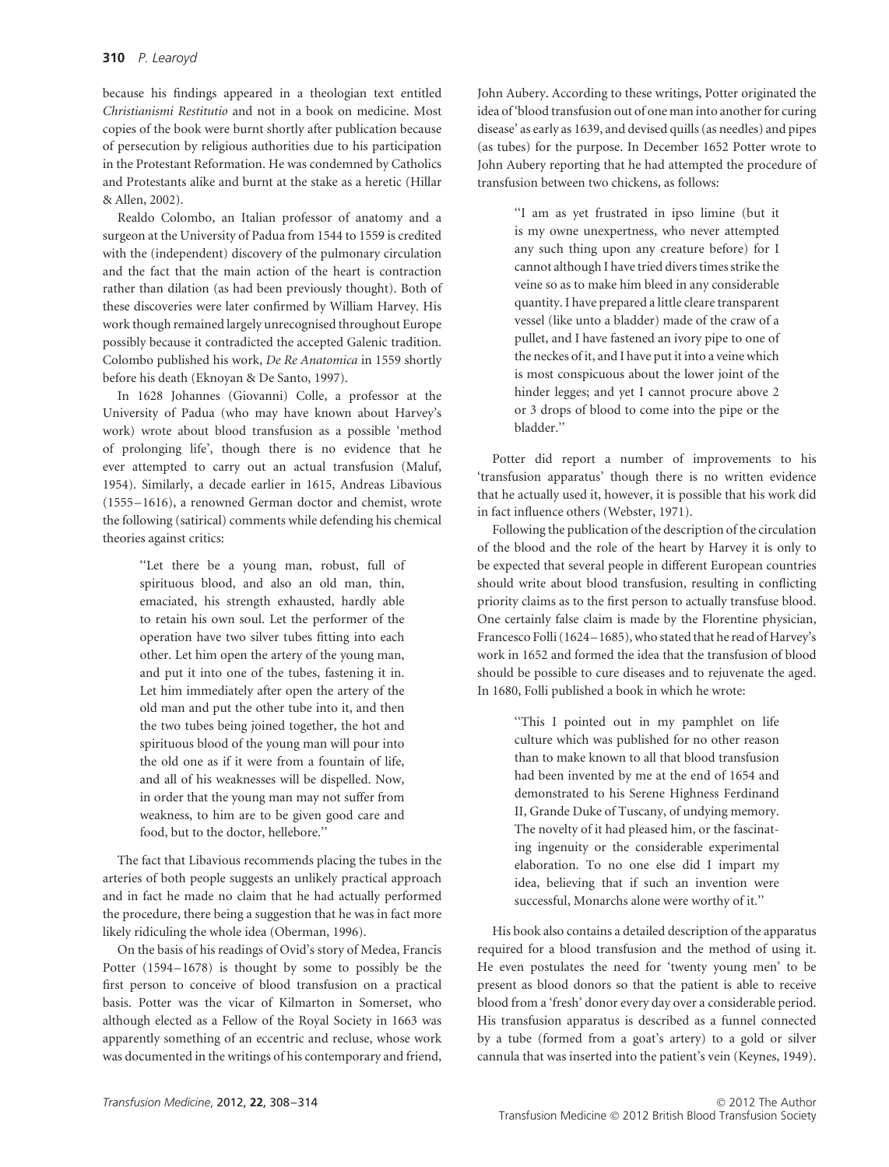because his findings appeared in a theologian text entitled *Christianismi Restitutio* and not in a book on medicine. Most copies of the book were burnt shortly after publication because of persecution by religious authorities due to his participation in the Protestant Reformation. He was condemned by Catholics and Protestants alike and burnt at the stake as a heretic (Hillar & Allen, 2002).

Realdo Colombo, an Italian professor of anatomy and a surgeon at the University of Padua from 1544 to 1559 is credited with the (independent) discovery of the pulmonary circulation and the fact that the main action of the heart is contraction rather than dilation (as had been previously thought). Both of these discoveries were later confirmed by William Harvey. His work though remained largely unrecognised throughout Europe possibly because it contradicted the accepted Galenic tradition. Colombo published his work, *De Re Anatomica* in 1559 shortly before his death (Eknoyan & De Santo, 1997).

In 1628 Johannes (Giovanni) Colle, a professor at the University of Padua (who may have known about Harvey's work) wrote about blood transfusion as a possible 'method of prolonging life', though there is no evidence that he ever attempted to carry out an actual transfusion (Maluf, 1954). Similarly, a decade earlier in 1615, Andreas Libavious (1555–1616), a renowned German doctor and chemist, wrote the following (satirical) comments while defending his chemical theories against critics:

> ''Let there be a young man, robust, full of spirituous blood, and also an old man, thin, emaciated, his strength exhausted, hardly able to retain his own soul. Let the performer of the operation have two silver tubes fitting into each other. Let him open the artery of the young man, and put it into one of the tubes, fastening it in. Let him immediately after open the artery of the old man and put the other tube into it, and then the two tubes being joined together, the hot and spirituous blood of the young man will pour into the old one as if it were from a fountain of life, and all of his weaknesses will be dispelled. Now, in order that the young man may not suffer from weakness, to him are to be given good care and food, but to the doctor, hellebore.''

The fact that Libavious recommends placing the tubes in the arteries of both people suggests an unlikely practical approach and in fact he made no claim that he had actually performed the procedure, there being a suggestion that he was in fact more likely ridiculing the whole idea (Oberman, 1996).

On the basis of his readings of Ovid's story of Medea, Francis Potter (1594–1678) is thought by some to possibly be the first person to conceive of blood transfusion on a practical basis. Potter was the vicar of Kilmarton in Somerset, who although elected as a Fellow of the Royal Society in 1663 was apparently something of an eccentric and recluse, whose work was documented in the writings of his contemporary and friend,

John Aubery. According to these writings, Potter originated the idea of 'blood transfusion out of one man into another for curing disease' as early as 1639, and devised quills (as needles) and pipes (as tubes) for the purpose. In December 1652 Potter wrote to John Aubery reporting that he had attempted the procedure of transfusion between two chickens, as follows:

> ''I am as yet frustrated in ipso limine (but it is my owne unexpertness, who never attempted any such thing upon any creature before) for I cannot although I have tried divers times strike the veine so as to make him bleed in any considerable quantity. I have prepared a little cleare transparent vessel (like unto a bladder) made of the craw of a pullet, and I have fastened an ivory pipe to one of the neckes of it, and I have put it into a veine which is most conspicuous about the lower joint of the hinder legges; and yet I cannot procure above 2 or 3 drops of blood to come into the pipe or the bladder.''

Potter did report a number of improvements to his 'transfusion apparatus' though there is no written evidence that he actually used it, however, it is possible that his work did in fact influence others (Webster, 1971).

Following the publication of the description of the circulation of the blood and the role of the heart by Harvey it is only to be expected that several people in different European countries should write about blood transfusion, resulting in conflicting priority claims as to the first person to actually transfuse blood. One certainly false claim is made by the Florentine physician, Francesco Folli (1624–1685), who stated that he read of Harvey's work in 1652 and formed the idea that the transfusion of blood should be possible to cure diseases and to rejuvenate the aged. In 1680, Folli published a book in which he wrote:

> ''This I pointed out in my pamphlet on life culture which was published for no other reason than to make known to all that blood transfusion had been invented by me at the end of 1654 and demonstrated to his Serene Highness Ferdinand II, Grande Duke of Tuscany, of undying memory. The novelty of it had pleased him, or the fascinating ingenuity or the considerable experimental elaboration. To no one else did I impart my idea, believing that if such an invention were successful, Monarchs alone were worthy of it.''

His book also contains a detailed description of the apparatus required for a blood transfusion and the method of using it. He even postulates the need for 'twenty young men' to be present as blood donors so that the patient is able to receive blood from a 'fresh' donor every day over a considerable period. His transfusion apparatus is described as a funnel connected by a tube (formed from a goat's artery) to a gold or silver cannula that was inserted into the patient's vein (Keynes, 1949).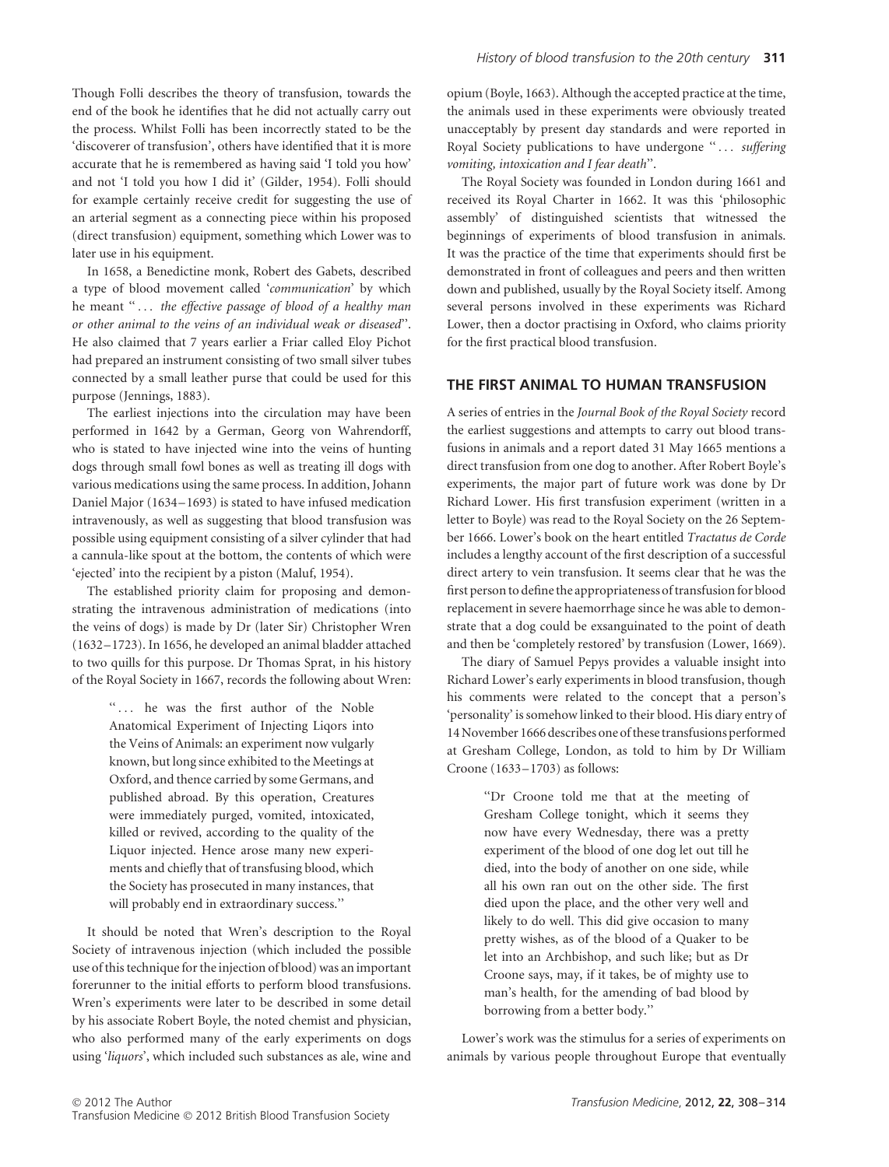Though Folli describes the theory of transfusion, towards the end of the book he identifies that he did not actually carry out the process. Whilst Folli has been incorrectly stated to be the 'discoverer of transfusion', others have identified that it is more accurate that he is remembered as having said 'I told you how' and not 'I told you how I did it' (Gilder, 1954). Folli should for example certainly receive credit for suggesting the use of an arterial segment as a connecting piece within his proposed (direct transfusion) equipment, something which Lower was to later use in his equipment.

In 1658, a Benedictine monk, Robert des Gabets, described a type of blood movement called '*communication*' by which he meant '' *... the effective passage of blood of a healthy man or other animal to the veins of an individual weak or diseased*''. He also claimed that 7 years earlier a Friar called Eloy Pichot had prepared an instrument consisting of two small silver tubes connected by a small leather purse that could be used for this purpose (Jennings, 1883).

The earliest injections into the circulation may have been performed in 1642 by a German, Georg von Wahrendorff, who is stated to have injected wine into the veins of hunting dogs through small fowl bones as well as treating ill dogs with various medications using the same process. In addition, Johann Daniel Major (1634–1693) is stated to have infused medication intravenously, as well as suggesting that blood transfusion was possible using equipment consisting of a silver cylinder that had a cannula-like spout at the bottom, the contents of which were 'ejected' into the recipient by a piston (Maluf, 1954).

The established priority claim for proposing and demonstrating the intravenous administration of medications (into the veins of dogs) is made by Dr (later Sir) Christopher Wren (1632–1723). In 1656, he developed an animal bladder attached to two quills for this purpose. Dr Thomas Sprat, in his history of the Royal Society in 1667, records the following about Wren:

> '' *...* he was the first author of the Noble Anatomical Experiment of Injecting Liqors into the Veins of Animals: an experiment now vulgarly known, but long since exhibited to the Meetings at Oxford, and thence carried by some Germans, and published abroad. By this operation, Creatures were immediately purged, vomited, intoxicated, killed or revived, according to the quality of the Liquor injected. Hence arose many new experiments and chiefly that of transfusing blood, which the Society has prosecuted in many instances, that will probably end in extraordinary success.''

It should be noted that Wren's description to the Royal Society of intravenous injection (which included the possible use of this technique for the injection of blood) was an important forerunner to the initial efforts to perform blood transfusions. Wren's experiments were later to be described in some detail by his associate Robert Boyle, the noted chemist and physician, who also performed many of the early experiments on dogs using '*liquors*', which included such substances as ale, wine and opium (Boyle, 1663). Although the accepted practice at the time, the animals used in these experiments were obviously treated unacceptably by present day standards and were reported in Royal Society publications to have undergone '' *... suffering vomiting, intoxication and I fear death*''.

The Royal Society was founded in London during 1661 and received its Royal Charter in 1662. It was this 'philosophic assembly' of distinguished scientists that witnessed the beginnings of experiments of blood transfusion in animals. It was the practice of the time that experiments should first be demonstrated in front of colleagues and peers and then written down and published, usually by the Royal Society itself. Among several persons involved in these experiments was Richard Lower, then a doctor practising in Oxford, who claims priority for the first practical blood transfusion.

### **THE FIRST ANIMAL TO HUMAN TRANSFUSION**

A series of entries in the *Journal Book of the Royal Society* record the earliest suggestions and attempts to carry out blood transfusions in animals and a report dated 31 May 1665 mentions a direct transfusion from one dog to another. After Robert Boyle's experiments, the major part of future work was done by Dr Richard Lower. His first transfusion experiment (written in a letter to Boyle) was read to the Royal Society on the 26 September 1666. Lower's book on the heart entitled *Tractatus de Corde* includes a lengthy account of the first description of a successful direct artery to vein transfusion. It seems clear that he was the first person to define the appropriateness of transfusion for blood replacement in severe haemorrhage since he was able to demonstrate that a dog could be exsanguinated to the point of death and then be 'completely restored' by transfusion (Lower, 1669).

The diary of Samuel Pepys provides a valuable insight into Richard Lower's early experiments in blood transfusion, though his comments were related to the concept that a person's 'personality' is somehow linked to their blood. His diary entry of 14 November 1666 describes one of these transfusions performed at Gresham College, London, as told to him by Dr William Croone (1633–1703) as follows:

> ''Dr Croone told me that at the meeting of Gresham College tonight, which it seems they now have every Wednesday, there was a pretty experiment of the blood of one dog let out till he died, into the body of another on one side, while all his own ran out on the other side. The first died upon the place, and the other very well and likely to do well. This did give occasion to many pretty wishes, as of the blood of a Quaker to be let into an Archbishop, and such like; but as Dr Croone says, may, if it takes, be of mighty use to man's health, for the amending of bad blood by borrowing from a better body.''

Lower's work was the stimulus for a series of experiments on animals by various people throughout Europe that eventually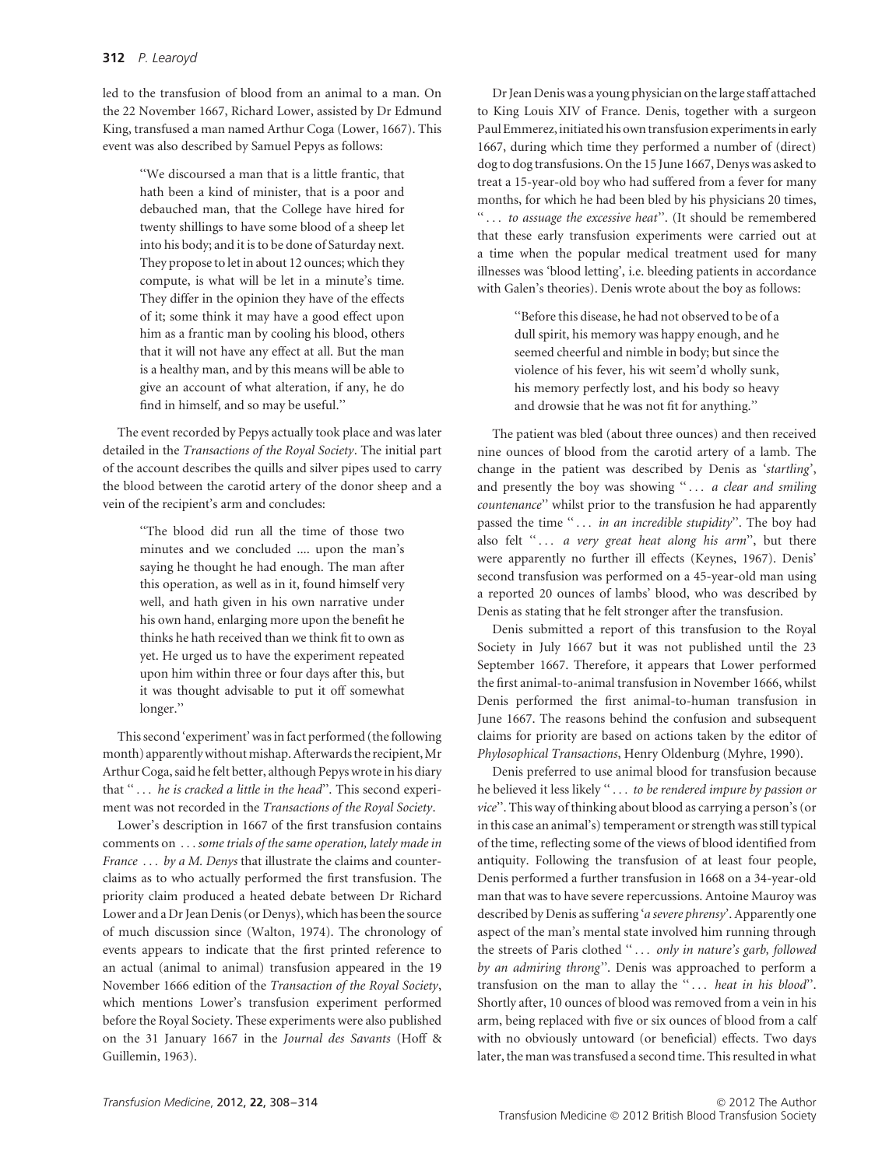led to the transfusion of blood from an animal to a man. On the 22 November 1667, Richard Lower, assisted by Dr Edmund King, transfused a man named Arthur Coga (Lower, 1667). This event was also described by Samuel Pepys as follows:

> ''We discoursed a man that is a little frantic, that hath been a kind of minister, that is a poor and debauched man, that the College have hired for twenty shillings to have some blood of a sheep let into his body; and it is to be done of Saturday next. They propose to let in about 12 ounces; which they compute, is what will be let in a minute's time. They differ in the opinion they have of the effects of it; some think it may have a good effect upon him as a frantic man by cooling his blood, others that it will not have any effect at all. But the man is a healthy man, and by this means will be able to give an account of what alteration, if any, he do find in himself, and so may be useful.''

The event recorded by Pepys actually took place and was later detailed in the *Transactions of the Royal Society*. The initial part of the account describes the quills and silver pipes used to carry the blood between the carotid artery of the donor sheep and a vein of the recipient's arm and concludes:

> ''The blood did run all the time of those two minutes and we concluded .... upon the man's saying he thought he had enough. The man after this operation, as well as in it, found himself very well, and hath given in his own narrative under his own hand, enlarging more upon the benefit he thinks he hath received than we think fit to own as yet. He urged us to have the experiment repeated upon him within three or four days after this, but it was thought advisable to put it off somewhat longer.''

This second 'experiment' was in fact performed (the following month) apparently without mishap. Afterwards the recipient, Mr Arthur Coga, said he felt better, although Pepys wrote in his diary that '' *... he is cracked a little in the head*''. This second experiment was not recorded in the *Transactions of the Royal Society*.

Lower's description in 1667 of the first transfusion contains comments on *... some trials of the same operation, lately made in France ... by a M. Denys* that illustrate the claims and counterclaims as to who actually performed the first transfusion. The priority claim produced a heated debate between Dr Richard Lower and a Dr Jean Denis (or Denys), which has been the source of much discussion since (Walton, 1974). The chronology of events appears to indicate that the first printed reference to an actual (animal to animal) transfusion appeared in the 19 November 1666 edition of the *Transaction of the Royal Society*, which mentions Lower's transfusion experiment performed before the Royal Society. These experiments were also published on the 31 January 1667 in the *Journal des Savants* (Hoff & Guillemin, 1963).

Dr Jean Denis was a young physician on the large staff attached to King Louis XIV of France. Denis, together with a surgeon Paul Emmerez, initiated his own transfusion experiments in early 1667, during which time they performed a number of (direct) dog to dog transfusions. On the 15 June 1667, Denys was asked to treat a 15-year-old boy who had suffered from a fever for many months, for which he had been bled by his physicians 20 times, '' *... to assuage the excessive heat*''. (It should be remembered that these early transfusion experiments were carried out at a time when the popular medical treatment used for many illnesses was 'blood letting', i.e. bleeding patients in accordance with Galen's theories). Denis wrote about the boy as follows:

> ''Before this disease, he had not observed to be of a dull spirit, his memory was happy enough, and he seemed cheerful and nimble in body; but since the violence of his fever, his wit seem'd wholly sunk, his memory perfectly lost, and his body so heavy and drowsie that he was not fit for anything.''

The patient was bled (about three ounces) and then received nine ounces of blood from the carotid artery of a lamb. The change in the patient was described by Denis as '*startling*', and presently the boy was showing '' *... a clear and smiling countenance*'' whilst prior to the transfusion he had apparently passed the time '' *... in an incredible stupidity*''. The boy had also felt '' *... a very great heat along his arm*'', but there were apparently no further ill effects (Keynes, 1967). Denis' second transfusion was performed on a 45-year-old man using a reported 20 ounces of lambs' blood, who was described by Denis as stating that he felt stronger after the transfusion.

Denis submitted a report of this transfusion to the Royal Society in July 1667 but it was not published until the 23 September 1667. Therefore, it appears that Lower performed the first animal-to-animal transfusion in November 1666, whilst Denis performed the first animal-to-human transfusion in June 1667. The reasons behind the confusion and subsequent claims for priority are based on actions taken by the editor of *Phylosophical Transactions*, Henry Oldenburg (Myhre, 1990).

Denis preferred to use animal blood for transfusion because he believed it less likely '' *... to be rendered impure by passion or vice*''. This way of thinking about blood as carrying a person's (or in this case an animal's) temperament or strength was still typical of the time, reflecting some of the views of blood identified from antiquity. Following the transfusion of at least four people, Denis performed a further transfusion in 1668 on a 34-year-old man that was to have severe repercussions. Antoine Mauroy was described by Denis as suffering '*a severe phrensy*'. Apparently one aspect of the man's mental state involved him running through the streets of Paris clothed '' *... only in nature's garb, followed by an admiring throng*''. Denis was approached to perform a transfusion on the man to allay the '' *... heat in his blood*''. Shortly after, 10 ounces of blood was removed from a vein in his arm, being replaced with five or six ounces of blood from a calf with no obviously untoward (or beneficial) effects. Two days later, the man was transfused a second time. This resulted in what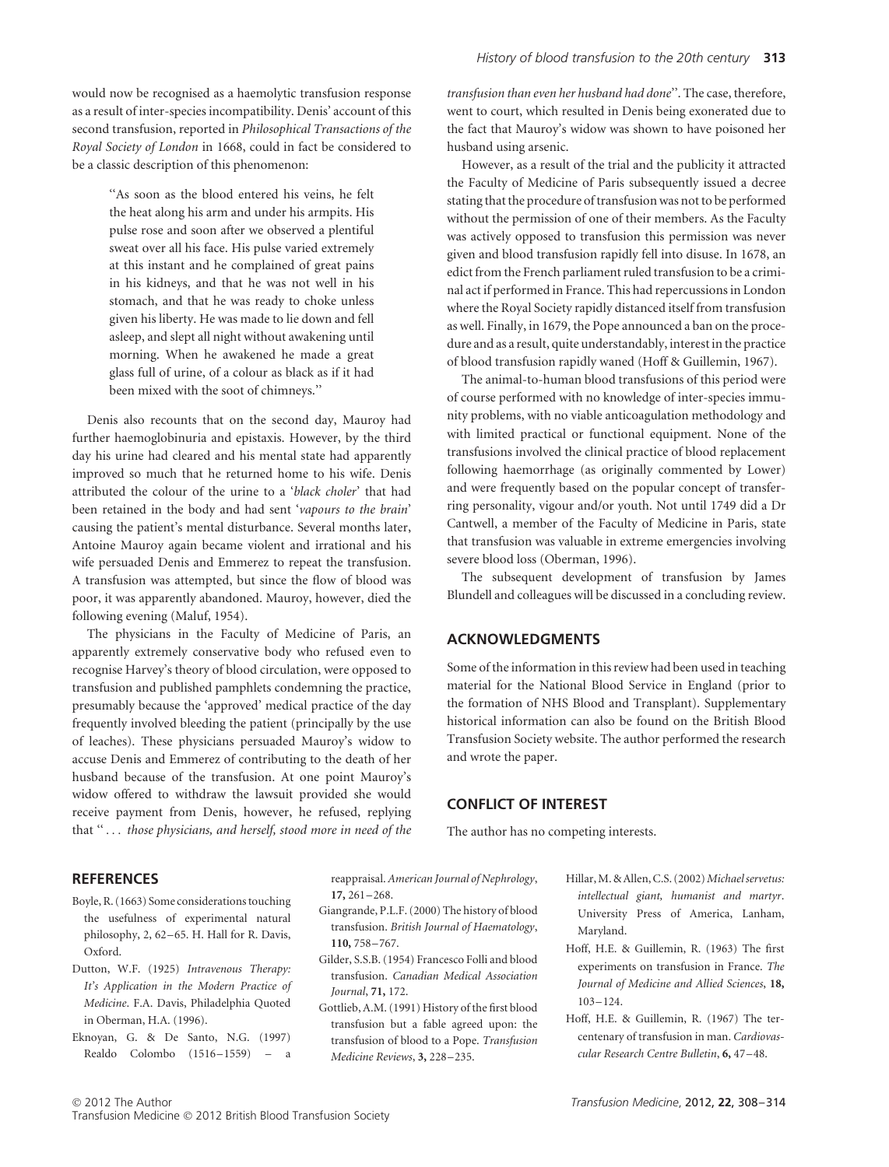would now be recognised as a haemolytic transfusion response as a result of inter-species incompatibility. Denis' account of this second transfusion, reported in *Philosophical Transactions of the Royal Society of London* in 1668, could in fact be considered to be a classic description of this phenomenon:

> ''As soon as the blood entered his veins, he felt the heat along his arm and under his armpits. His pulse rose and soon after we observed a plentiful sweat over all his face. His pulse varied extremely at this instant and he complained of great pains in his kidneys, and that he was not well in his stomach, and that he was ready to choke unless given his liberty. He was made to lie down and fell asleep, and slept all night without awakening until morning. When he awakened he made a great glass full of urine, of a colour as black as if it had been mixed with the soot of chimneys.''

Denis also recounts that on the second day, Mauroy had further haemoglobinuria and epistaxis. However, by the third day his urine had cleared and his mental state had apparently improved so much that he returned home to his wife. Denis attributed the colour of the urine to a '*black choler*' that had been retained in the body and had sent '*vapours to the brain*' causing the patient's mental disturbance. Several months later, Antoine Mauroy again became violent and irrational and his wife persuaded Denis and Emmerez to repeat the transfusion. A transfusion was attempted, but since the flow of blood was poor, it was apparently abandoned. Mauroy, however, died the following evening (Maluf, 1954).

The physicians in the Faculty of Medicine of Paris, an apparently extremely conservative body who refused even to recognise Harvey's theory of blood circulation, were opposed to transfusion and published pamphlets condemning the practice, presumably because the 'approved' medical practice of the day frequently involved bleeding the patient (principally by the use of leaches). These physicians persuaded Mauroy's widow to accuse Denis and Emmerez of contributing to the death of her husband because of the transfusion. At one point Mauroy's widow offered to withdraw the lawsuit provided she would receive payment from Denis, however, he refused, replying that '' *... those physicians, and herself, stood more in need of the* *transfusion than even her husband had done*''. The case, therefore, went to court, which resulted in Denis being exonerated due to the fact that Mauroy's widow was shown to have poisoned her husband using arsenic.

However, as a result of the trial and the publicity it attracted the Faculty of Medicine of Paris subsequently issued a decree stating that the procedure of transfusion was not to be performed without the permission of one of their members. As the Faculty was actively opposed to transfusion this permission was never given and blood transfusion rapidly fell into disuse. In 1678, an edict from the French parliament ruled transfusion to be a criminal act if performed in France. This had repercussions in London where the Royal Society rapidly distanced itself from transfusion as well. Finally, in 1679, the Pope announced a ban on the procedure and as a result, quite understandably, interest in the practice of blood transfusion rapidly waned (Hoff & Guillemin, 1967).

The animal-to-human blood transfusions of this period were of course performed with no knowledge of inter-species immunity problems, with no viable anticoagulation methodology and with limited practical or functional equipment. None of the transfusions involved the clinical practice of blood replacement following haemorrhage (as originally commented by Lower) and were frequently based on the popular concept of transferring personality, vigour and/or youth. Not until 1749 did a Dr Cantwell, a member of the Faculty of Medicine in Paris, state that transfusion was valuable in extreme emergencies involving severe blood loss (Oberman, 1996).

The subsequent development of transfusion by James Blundell and colleagues will be discussed in a concluding review.

# **ACKNOWLEDGMENTS**

Some of the information in this review had been used in teaching material for the National Blood Service in England (prior to the formation of NHS Blood and Transplant). Supplementary historical information can also be found on the British Blood Transfusion Society website. The author performed the research and wrote the paper.

## **CONFLICT OF INTEREST**

The author has no competing interests.

#### **REFERENCES**

- Boyle, R. (1663) Some considerations touching the usefulness of experimental natural philosophy, 2, 62–65. H. Hall for R. Davis, Oxford.
- Dutton, W.F. (1925) *Intravenous Therapy: It's Application in the Modern Practice of Medicine*. F.A. Davis, Philadelphia Quoted in Oberman, H.A. (1996).
- Eknoyan, G. & De Santo, N.G. (1997) Realdo Colombo (1516–1559) – a

reappraisal. *American Journal of Nephrology*, **17,** 261–268.

- Giangrande, P.L.F. (2000) The history of blood transfusion. *British Journal of Haematology*, **110,** 758–767.
- Gilder, S.S.B. (1954) Francesco Folli and blood transfusion. *Canadian Medical Association Journal*, **71,** 172.
- Gottlieb, A.M. (1991) History of the first blood transfusion but a fable agreed upon: the transfusion of blood to a Pope. *Transfusion Medicine Reviews*, **3,** 228–235.
- Hillar, M. & Allen, C.S. (2002)*Michael servetus: intellectual giant, humanist and martyr*. University Press of America, Lanham, Maryland.
- Hoff, H.E. & Guillemin, R. (1963) The first experiments on transfusion in France. *The Journal of Medicine and Allied Sciences*, **18,** 103–124.
- Hoff, H.E. & Guillemin, R. (1967) The tercentenary of transfusion in man. *Cardiovascular Research Centre Bulletin*, **6,** 47–48.